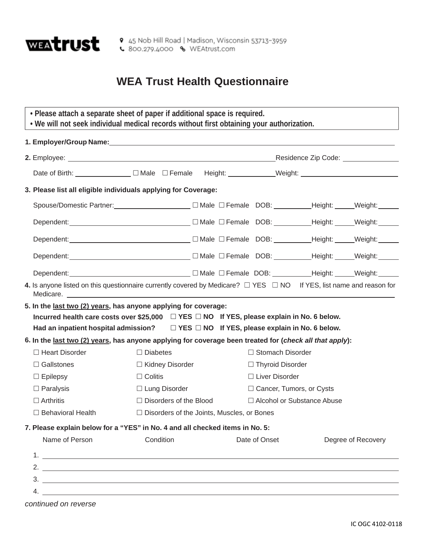

## **WEA Trust Health Questionnaire**

| • Please attach a separate sheet of paper if additional space is required.<br>. We will not seek individual medical records without first obtaining your authorization.                                                                                                                                                |                                                                                                                        |                         |                            |                              |                    |  |  |  |
|------------------------------------------------------------------------------------------------------------------------------------------------------------------------------------------------------------------------------------------------------------------------------------------------------------------------|------------------------------------------------------------------------------------------------------------------------|-------------------------|----------------------------|------------------------------|--------------------|--|--|--|
|                                                                                                                                                                                                                                                                                                                        |                                                                                                                        |                         |                            |                              |                    |  |  |  |
|                                                                                                                                                                                                                                                                                                                        | Residence Zip Code: National Processing                                                                                |                         |                            |                              |                    |  |  |  |
|                                                                                                                                                                                                                                                                                                                        |                                                                                                                        |                         |                            |                              |                    |  |  |  |
| 3. Please list all eligible individuals applying for Coverage:                                                                                                                                                                                                                                                         |                                                                                                                        |                         |                            |                              |                    |  |  |  |
| Spouse/Domestic Partner:________________________ □ Male □ Female DOB: __________Height: ______Weight: ______                                                                                                                                                                                                           |                                                                                                                        |                         |                            |                              |                    |  |  |  |
|                                                                                                                                                                                                                                                                                                                        |                                                                                                                        |                         |                            |                              |                    |  |  |  |
|                                                                                                                                                                                                                                                                                                                        |                                                                                                                        |                         |                            |                              |                    |  |  |  |
|                                                                                                                                                                                                                                                                                                                        |                                                                                                                        |                         |                            |                              |                    |  |  |  |
| Dependent: Veight: Weight: Weight: Weight: Weight: Weight: Weight: Weight: Weight: Weight: Weight: Weight: Weight: Weight: Weight: Weight: Weight: Weight: Weight: Weight: Weight: Weight: Weight: Weight: Weight: Weight: We                                                                                          |                                                                                                                        |                         |                            |                              |                    |  |  |  |
| 4. Is anyone listed on this questionnaire currently covered by Medicare? $\Box$ YES $\Box$ NO If YES, list name and reason for                                                                                                                                                                                         |                                                                                                                        |                         |                            |                              |                    |  |  |  |
| 5. In the last two (2) years, has anyone applying for coverage:                                                                                                                                                                                                                                                        |                                                                                                                        |                         |                            |                              |                    |  |  |  |
| Incurred health care costs over \$25,000 □ YES □ NO If YES, please explain in No. 6 below.                                                                                                                                                                                                                             |                                                                                                                        |                         |                            |                              |                    |  |  |  |
| Had an inpatient hospital admission?<br>□ YES □ NO If YES, please explain in No. 6 below.                                                                                                                                                                                                                              |                                                                                                                        |                         |                            |                              |                    |  |  |  |
| 6. In the last two (2) years, has anyone applying for coverage been treated for (check all that apply):                                                                                                                                                                                                                |                                                                                                                        |                         |                            |                              |                    |  |  |  |
| $\Box$ Heart Disorder                                                                                                                                                                                                                                                                                                  | $\Box$ Diabetes                                                                                                        |                         | □ Stomach Disorder         |                              |                    |  |  |  |
| $\Box$ Gallstones                                                                                                                                                                                                                                                                                                      | □ Kidney Disorder                                                                                                      | $\Box$ Thyroid Disorder |                            |                              |                    |  |  |  |
| $\Box$ Epilepsy                                                                                                                                                                                                                                                                                                        | $\Box$ Colitis                                                                                                         |                         | □ Liver Disorder           |                              |                    |  |  |  |
| $\Box$ Paralysis                                                                                                                                                                                                                                                                                                       | □ Lung Disorder                                                                                                        |                         | □ Cancer, Tumors, or Cysts |                              |                    |  |  |  |
| $\Box$ Arthritis                                                                                                                                                                                                                                                                                                       | □ Disorders of the Blood                                                                                               |                         |                            | □ Alcohol or Substance Abuse |                    |  |  |  |
| $\Box$ Behavioral Health                                                                                                                                                                                                                                                                                               | □ Disorders of the Joints, Muscles, or Bones                                                                           |                         |                            |                              |                    |  |  |  |
| 7. Please explain below for a "YES" in No. 4 and all checked items in No. 5:                                                                                                                                                                                                                                           |                                                                                                                        |                         |                            |                              |                    |  |  |  |
| Name of Person                                                                                                                                                                                                                                                                                                         | Condition                                                                                                              |                         | Date of Onset              |                              | Degree of Recovery |  |  |  |
|                                                                                                                                                                                                                                                                                                                        |                                                                                                                        |                         |                            |                              |                    |  |  |  |
| 2. $\frac{1}{2}$ $\frac{1}{2}$ $\frac{1}{2}$ $\frac{1}{2}$ $\frac{1}{2}$ $\frac{1}{2}$ $\frac{1}{2}$ $\frac{1}{2}$ $\frac{1}{2}$ $\frac{1}{2}$ $\frac{1}{2}$ $\frac{1}{2}$ $\frac{1}{2}$ $\frac{1}{2}$ $\frac{1}{2}$ $\frac{1}{2}$ $\frac{1}{2}$ $\frac{1}{2}$ $\frac{1}{2}$ $\frac{1}{2}$ $\frac{1}{2}$ $\frac{1}{2}$ |                                                                                                                        |                         |                            |                              |                    |  |  |  |
|                                                                                                                                                                                                                                                                                                                        |                                                                                                                        |                         |                            |                              |                    |  |  |  |
|                                                                                                                                                                                                                                                                                                                        | <u> 1989 - Johann Stoff, deutscher Stoffen und der Stoffen und der Stoffen und der Stoffen und der Stoffen und der</u> |                         |                            |                              |                    |  |  |  |

*continued on reverse*